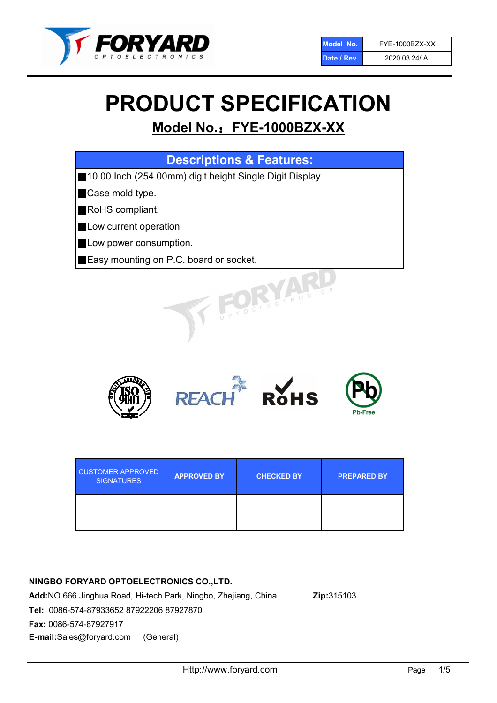

# PRODUCT SPECIFICATION

## Model No.: FYE-1000BZX-XX

## Descriptions & Features:

■10.00 Inch (254.00mm) digit height Single Digit Display

■Case mold type.

■RoHS compliant.

- **Low current operation**
- **Low power consumption.**
- ■Easy mounting on P.C. board or socket.



| <b>CUSTOMER APPROVED</b><br><b>SIGNATURES</b> | <b>APPROVED BY</b> | <b>CHECKED BY</b> | <b>PREPARED BY</b> |
|-----------------------------------------------|--------------------|-------------------|--------------------|
|                                               |                    |                   |                    |

## NINGBO FORYARD OPTOELECTRONICS CO.,LTD.

Add:NO.666 Jinghua Road, Hi-tech Park, Ningbo, Zhejiang, China Zip:315103 Tel: 0086-574-87933652 87922206 87927870 Fax: 0086-574-87927917 E-mail:Sales@foryard.com (General)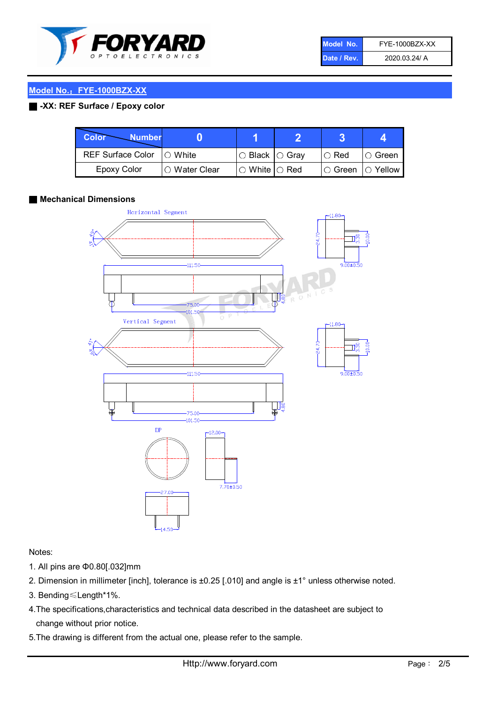

| Model No.   | FYE-1000BZX-XX |
|-------------|----------------|
| Date / Rev. | 2020.03.24/ A  |

## Model No.: FYE-1000BZX-XX

## ■ -XX: REF Surface / Epoxy color

| Color<br><b>Number</b>     |                |                            |                   |          |
|----------------------------|----------------|----------------------------|-------------------|----------|
| REF Surface Color  ○ White |                | $\circ$ Black $\circ$ Gray | $\circ$ Red       | ∣O Green |
| <b>Epoxy Color</b>         | I∩ Water Clear | $\circ$ White $\circ$ Red  | ○ Green  ○ Yellow |          |

#### ■ Mechanical Dimensions



### Notes:

- 1. All pins are Φ0.80[.032]mm
- 2. Dimension in millimeter [inch], tolerance is ±0.25 [.010] and angle is ±1° unless otherwise noted.
- 3. Bending≤Length\*1%.
- 4.The specifications,characteristics and technical data described in the datasheet are subject to change without prior notice.
- 5.The drawing is different from the actual one, please refer to the sample.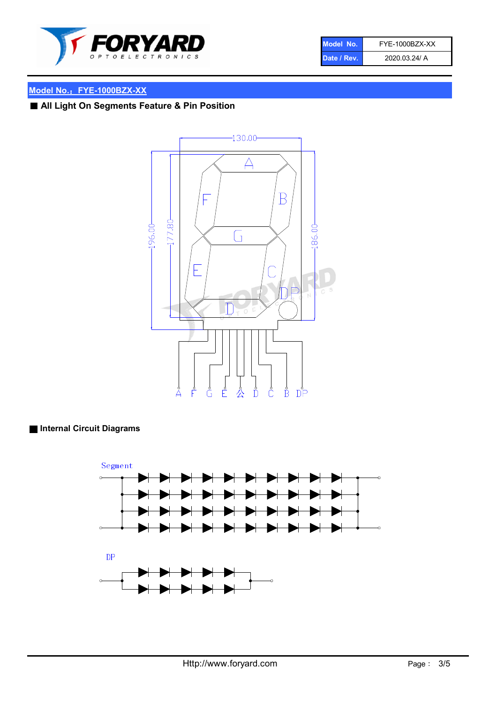

| Model No.   | FYE-1000BZX-XX |
|-------------|----------------|
| Date / Rev. | 2020.03.24/ A  |

## Model No.: FYE-1000BZX-XX

## ■ All Light On Segments Feature & Pin Position



## ■ Internal Circuit Diagrams

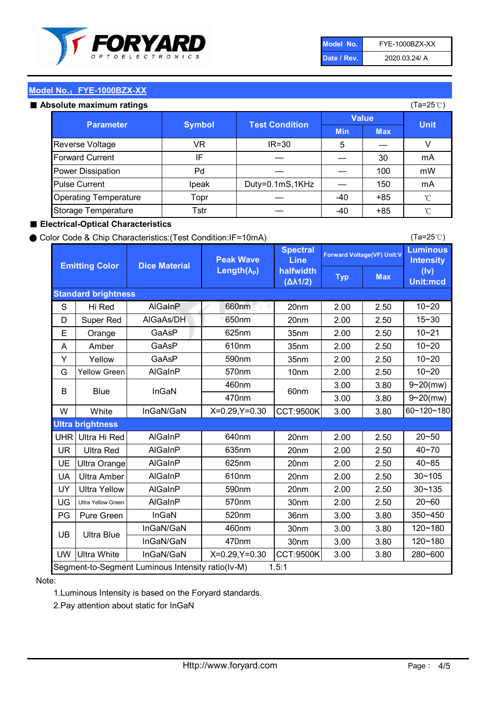

| Model No.   | FYE-1000BZX-XX |
|-------------|----------------|
| Date / Rev. | 2020.03.24/ A  |

(Ta=25℃)

## Model No.: FYE-1000BZX-XX

#### Absolute maximum

| solute maximum ratings       |               |                       |              |            | (Ta=25℃)    |
|------------------------------|---------------|-----------------------|--------------|------------|-------------|
| <b>Parameter</b>             | <b>Symbol</b> | <b>Test Condition</b> | <b>Value</b> |            |             |
|                              |               |                       | <b>Min</b>   | <b>Max</b> | <b>Unit</b> |
| Reverse Voltage              | VR            | $IR = 30$             | 5            |            |             |
| <b>Forward Current</b>       | ΙF            |                       |              | 30         | mA          |
| Power Dissipation            | Pd            |                       |              | 100        | mW          |
| <b>Pulse Current</b>         | Ipeak         | Duty=0.1mS,1KHz       |              | 150        | mA          |
| <b>Operating Temperature</b> | Topr          |                       | $-40$        | $+85$      | °C          |
| Storage Temperature          | Tstr          |                       | $-40$        | $+85$      | °C          |

#### ■ Electrical-Optical Characteristics

#### ● Color Code & Chip Characteristics:(Test Condition:IF=10mA)

Typ Max S | Hi $\textsf{Red}$  | AlGaInP | 660nm LE 20nm | 2.00 | 2.50 D | Super Red | AIGaAs/DH | 650nm | 20nm | 2.00 | 2.50 E | Orange | GaAsP | 625nm | 35nm | 2.00 | 2.50 A | Amber | GaAsP | 610nm | 35nm | 2.00 | 2.50 Y | Yellow | GaAsP | 590nm | 35nm | 2.00 | 2.50 G Yellow Green AIGaInP | 570nm | 10nm | 2.00 | 2.50 3.00 3.80 3.00 3.80 W | White | InGaN/GaN | X=0.29,Y=0.30 |CCT:9500K| 3.00 | 3.80 UHR Ultra Hi Red | AlGaInP | 640nm | 20nm | 2.00 | 2.50 UR | Ultra Red | AlGaInP | 635nm | 20nm | 2.00 | 2.50 UE Ultra Orange | AIGaInP | 625nm | 20nm | 2.00 | 2.50 UA Ultra Amber | AIGaInP | 610nm | 20nm | 2.00 | 2.50  $UV$  Ultra Yellow  $\vert$  AlGaInP  $\vert$  590nm  $\vert$  20nm  $\vert$  2.00  $\vert$  2.50  $\text{UG}$  Ultra Yellow Green | AIGaInP | 570nm | 30nm | 2.00 | 2.50 PG Pure Green | InGaN | 520nm | 36nm | 3.00 | 3.80 30nm 3.00 3.80 30nm 3.00 3.80 UW |Ultra White | InGaN/GaN | X=0.29,Y=0.30 |CCT:9500K| 3.00 | 3.80 40~85 60~120~180 40~70 Segment-to-Segment Luminous Intensity ratio(Iv-M) 1.5:1 610nm 9~20(mw) 350~450 470nm 120~180 120~180 Ultra Blue InGaN/GaN InGaN/GaN 9~20(mw) 20~50 280~600 570nm | 30nm | 2.00 | 2.50 | 20~60 470nm 590nm InGaN/GaN B Blue I InGaN 570nm | 10nm | 2.00 | 2.50 | 10~20 30~105 30~135 460nm 520nm Ultra brightness **AlGaInP** AlGaInP 60nm AlGaInP 640nm Peak Wave Length $(\lambda_{\rm P})$ UB 460nm 635nm AlGaInP AlGaInP AlGaInP InGaN/GaN AlGaInP 10~20 Luminous **Intensity** (Iv) Unit:mcd AlGainP 660nm GaAsP GaAsP AlGaAs/DH **Spectral** Line halfwidth (∆λ1/2) 10~20 Standard brightness Forward Voltage(VF) Unit:V 15~30 10~20 625nm GaAsP 590nm **Emitting Color Dice Material** 10~21 610nm

#### Note:

1.Luminous Intensity is based on the Foryard standards.

2.Pay attention about static for InGaN